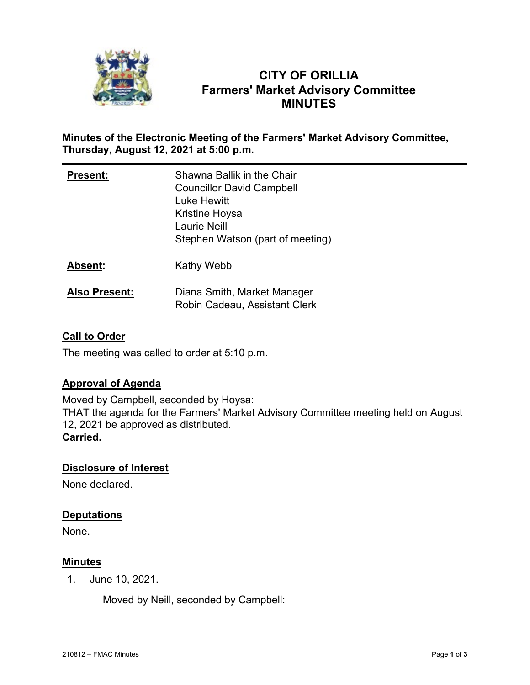

# **CITY OF ORILLIA Farmers' Market Advisory Committee MINUTES**

### **Minutes of the Electronic Meeting of the Farmers' Market Advisory Committee, Thursday, August 12, 2021 at 5:00 p.m.**

| <b>Present:</b>      | Shawna Ballik in the Chair<br><b>Councillor David Campbell</b><br>Luke Hewitt<br>Kristine Hoysa<br><b>Laurie Neill</b><br>Stephen Watson (part of meeting) |
|----------------------|------------------------------------------------------------------------------------------------------------------------------------------------------------|
| <b>Absent:</b>       | Kathy Webb                                                                                                                                                 |
| <b>Also Present:</b> | Diana Smith, Market Manager<br>Robin Cadeau, Assistant Clerk                                                                                               |

## **Call to Order**

The meeting was called to order at 5:10 p.m.

### **Approval of Agenda**

Moved by Campbell, seconded by Hoysa: THAT the agenda for the Farmers' Market Advisory Committee meeting held on August 12, 2021 be approved as distributed. **Carried.**

### **Disclosure of Interest**

None declared.

### **Deputations**

None.

### **Minutes**

1. June 10, 2021.

Moved by Neill, seconded by Campbell: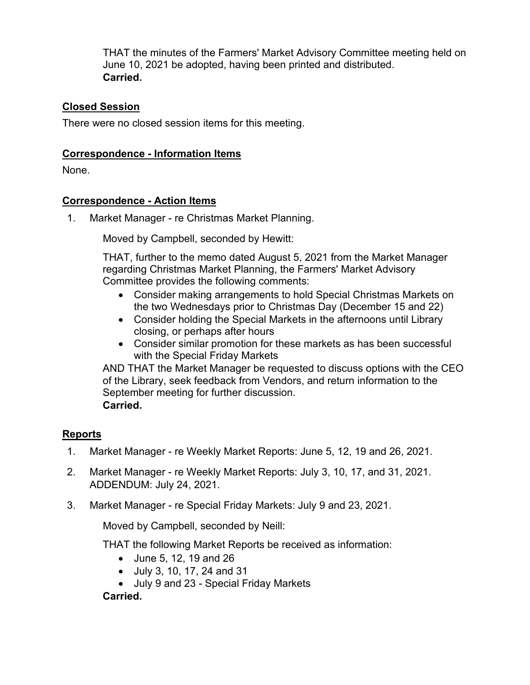THAT the minutes of the Farmers' Market Advisory Committee meeting held on June 10, 2021 be adopted, having been printed and distributed. **Carried.**

# **Closed Session**

There were no closed session items for this meeting.

## **Correspondence - Information Items**

None.

## **Correspondence - Action Items**

1. Market Manager - re Christmas Market Planning.

Moved by Campbell, seconded by Hewitt:

THAT, further to the memo dated August 5, 2021 from the Market Manager regarding Christmas Market Planning, the Farmers' Market Advisory Committee provides the following comments:

- Consider making arrangements to hold Special Christmas Markets on the two Wednesdays prior to Christmas Day (December 15 and 22)
- Consider holding the Special Markets in the afternoons until Library closing, or perhaps after hours
- Consider similar promotion for these markets as has been successful with the Special Friday Markets

AND THAT the Market Manager be requested to discuss options with the CEO of the Library, seek feedback from Vendors, and return information to the September meeting for further discussion. **Carried.**

# **Reports**

- 1. Market Manager re Weekly Market Reports: June 5, 12, 19 and 26, 2021.
- 2. Market Manager re Weekly Market Reports: July 3, 10, 17, and 31, 2021. ADDENDUM: July 24, 2021.
- 3. Market Manager re Special Friday Markets: July 9 and 23, 2021.

Moved by Campbell, seconded by Neill:

THAT the following Market Reports be received as information:

- June 5, 12, 19 and 26
- July 3, 10, 17, 24 and 31
- July 9 and 23 Special Friday Markets

**Carried.**